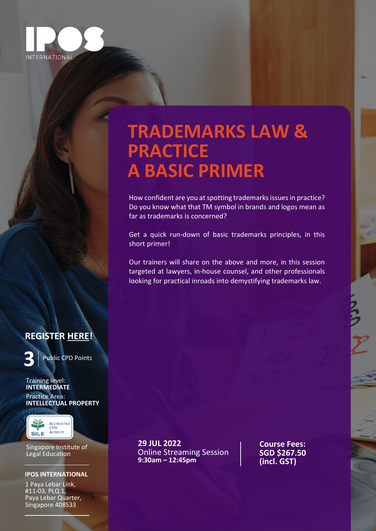

## **TRADEMARKS LAW & PRACTICE A BASIC PRIMER**

How confident are you at spotting trademarks issues in practice? Do you know what that TM symbol in brands and logos mean as far as trademarks is concerned?

Get a quick run-down of basic trademarks principles, in this short primer!

Our trainers will share on the above and more, in this session targeted at lawyers, in-house counsel, and other professionals looking for practical inroads into demystifying trademarks law.

## **REGISTER [HERE!](https://iposinternational.com/en/academy/ip-professionals)**

Public CPD Points **3**

Training level: **INTERMEDIATE**

Practice Area: **INTELLECTUAL PROPERTY**



Singapore Institute of Legal Education

#### **IPOS INTERNATIONAL**

1 Paya Lebar Link, #11-03, PLQ 1, Paya Lebar Quarter, Singapore 408533

**29 JUL 2022** Online Streaming Session **9:30am – 12:45pm**

**Course Fees: SGD \$267.50 (incl. GST)**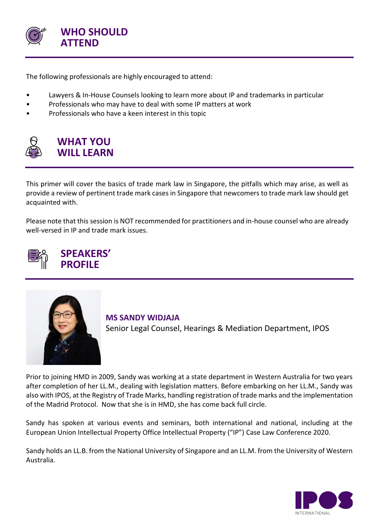The following professionals are highly encouraged to attend:

- Lawyers & In-House Counsels looking to learn more about IP and trademarks in particular
- Professionals who may have to deal with some IP matters at work
- Professionals who have a keen interest in this topic



## **WHAT YOU WILL LEARN**

**WHO SHOULD**

**ATTEND**

This primer will cover the basics of trade mark law in Singapore, the pitfalls which may arise, as well as provide a review of pertinent trade mark cases in Singapore that newcomers to trade mark law should get acquainted with.

Please note that this session is NOT recommended for practitioners and in-house counsel who are already well-versed in IP and trade mark issues.



## **SPEAKERS' PROFILE**



#### **MS SANDY WIDJAJA**

Senior Legal Counsel, Hearings & Mediation Department, IPOS

Prior to joining HMD in 2009, Sandy was working at a state department in Western Australia for two years after completion of her LL.M., dealing with legislation matters. Before embarking on her LL.M., Sandy was also with IPOS, at the Registry of Trade Marks, handling registration of trade marks and the implementation of the Madrid Protocol. Now that she is in HMD, she has come back full circle.

Sandy has spoken at various events and seminars, both international and national, including at the European Union Intellectual Property Office Intellectual Property ("IP") Case Law Conference 2020.

Sandy holds an LL.B. from the National University of Singapore and an LL.M. from the University of Western Australia.

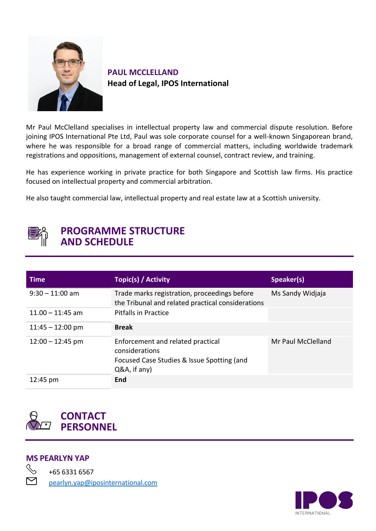

#### **PAUL MCCLELLAND Head of Legal, IPOS International**

Mr Paul McClelland specialises in intellectual property law and commercial dispute resolution. Before joining IPOS International Pte Ltd, Paul was sole corporate counsel for a well-known Singaporean brand, where he was responsible for a broad range of commercial matters, including worldwide trademark registrations and oppositions, management of external counsel, contract review, and training.

He has experience working in private practice for both Singapore and Scottish law firms. His practice focused on intellectual property and commercial arbitration.

He also taught commercial law, intellectual property and real estate law at a Scottish university.



#### **PROGRAMME STRUCTURE AND SCHEDULE**

| <b>Time</b>        | Topic(s) / Activity                                                                                                  | Speaker(s)         |
|--------------------|----------------------------------------------------------------------------------------------------------------------|--------------------|
| $9:30 - 11:00$ am  | Trade marks registration, proceedings before<br>the Tribunal and related practical considerations                    | Ms Sandy Widjaja   |
| $11.00 - 11:45$ am | <b>Pitfalls in Practice</b>                                                                                          |                    |
| $11:45 - 12:00$ pm | <b>Break</b>                                                                                                         |                    |
| $12:00 - 12:45$ pm | Enforcement and related practical<br>considerations<br>Focused Case Studies & Issue Spotting (and<br>$Q&A$ , if any) | Mr Paul McClelland |
| 12:45 pm           | End                                                                                                                  |                    |



#### **MS PEARLYN YAP**

 $\mathcal{N}_{\mathcal{S}}$ +65 6331 6567  $\blacktriangledown$ [pearlyn.yap@iposinternational.com](mailto:pearlyn.yap@iposinternational.com)